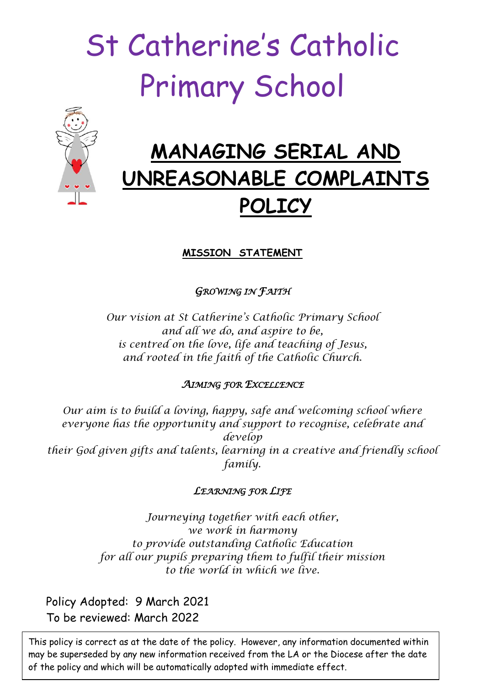# St Catherine's Catholic Primary School



## **MANAGING SERIAL AND UNREASONABLE COMPLAINTS POLICY**

### **MISSION STATEMENT**

*GROWING IN FAITH* 

*Our vision at St Catherine's Catholic Primary School and all we do, and aspire to be, is centred on the love, life and teaching of Jesus, and rooted in the faith of the Catholic Church.*

#### *AIMING FOR EXCELLENCE*

*Our aim is to build a loving, happy, safe and welcoming school where everyone has the opportunity and support to recognise, celebrate and develop their God given gifts and talents, learning in a creative and friendly school family.*

#### *LEARNING FOR LIFE*

*Journeying together with each other, we work in harmony to provide outstanding Catholic Education for all our pupils preparing them to fulfil their mission to the world in which we live.*

Policy Adopted: 9 March 2021 To be reviewed: March 2022

This policy is correct as at the date of the policy. However, any information documented within may be superseded by any new information received from the LA or the Diocese after the date of the policy and which will be automatically adopted with immediate effect.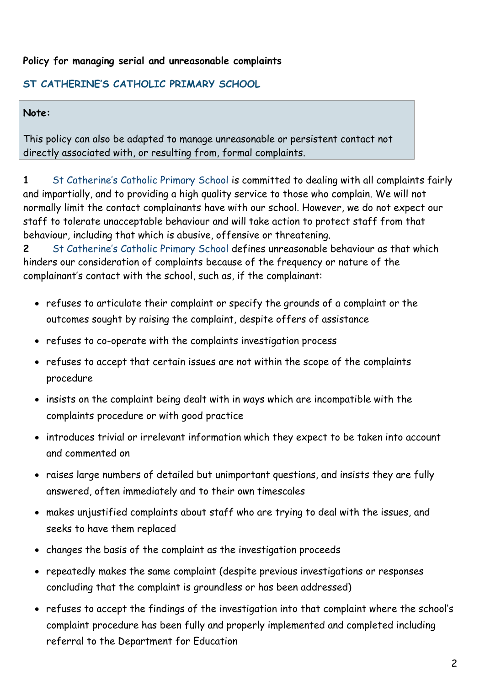#### **Policy for managing serial and unreasonable complaints**

#### **ST CATHERINE'S CATHOLIC PRIMARY SCHOOL**

#### **Note:**

This policy can also be adapted to manage unreasonable or persistent contact not directly associated with, or resulting from, formal complaints.

**1** St Catherine's Catholic Primary School is committed to dealing with all complaints fairly and impartially, and to providing a high quality service to those who complain. We will not normally limit the contact complainants have with our school. However, we do not expect our staff to tolerate unacceptable behaviour and will take action to protect staff from that behaviour, including that which is abusive, offensive or threatening.

**2** St Catherine's Catholic Primary School defines unreasonable behaviour as that which hinders our consideration of complaints because of the frequency or nature of the complainant's contact with the school, such as, if the complainant:

- refuses to articulate their complaint or specify the grounds of a complaint or the outcomes sought by raising the complaint, despite offers of assistance
- refuses to co-operate with the complaints investigation process
- refuses to accept that certain issues are not within the scope of the complaints procedure
- insists on the complaint being dealt with in ways which are incompatible with the complaints procedure or with good practice
- introduces trivial or irrelevant information which they expect to be taken into account and commented on
- raises large numbers of detailed but unimportant questions, and insists they are fully answered, often immediately and to their own timescales
- makes unjustified complaints about staff who are trying to deal with the issues, and seeks to have them replaced
- changes the basis of the complaint as the investigation proceeds
- repeatedly makes the same complaint (despite previous investigations or responses concluding that the complaint is groundless or has been addressed)
- refuses to accept the findings of the investigation into that complaint where the school's complaint procedure has been fully and properly implemented and completed including referral to the Department for Education